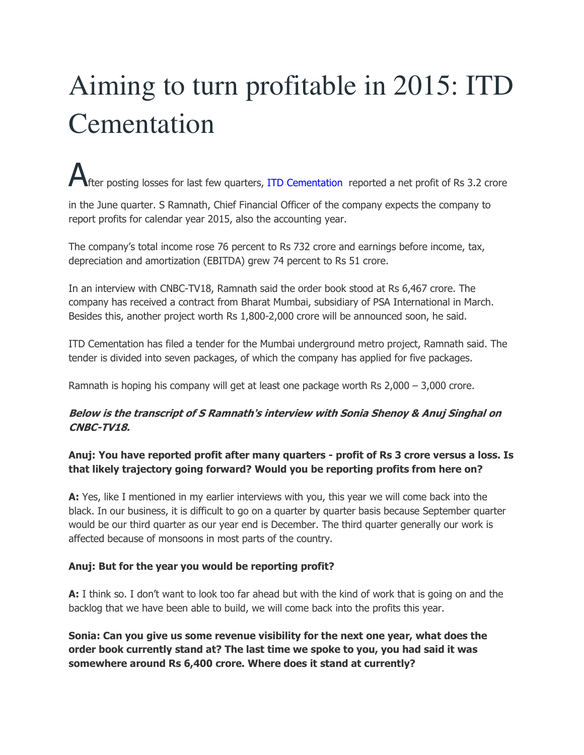# Aiming to turn profitable in 2015: ITD Cementation

After posting losses for last few quarters, ITD Cementation reported a net profit of Rs 3.2 crore

in the June quarter. S Ramnath, Chief Financial Officer of the company expects the company to report profits for calendar year 2015, also the accounting year.

The company's total income rose 76 percent to Rs 732 crore and earnings before income, tax, depreciation and amortization (EBITDA) grew 74 percent to Rs 51 crore.

In an interview with CNBC-TV18, Ramnath said the order book stood at Rs 6,467 crore. The company has received a contract from Bharat Mumbai, subsidiary of PSA International in March. Besides this, another project worth Rs 1,800-2,000 crore will be announced soon, he said.

ITD Cementation has filed a tender for the Mumbai underground metro project, Ramnath said. The tender is divided into seven packages, of which the company has applied for five packages.

Ramnath is hoping his company will get at least one package worth Rs 2,000 – 3,000 crore.

# **Below is the transcript of S Ramnath's interview with Sonia Shenoy & Anuj Singhal on CNBC-TV18.**

# **Anuj: You have reported profit after many quarters - profit of Rs 3 crore versus a loss. Is that likely trajectory going forward? Would you be reporting profits from here on?**

**A:** Yes, like I mentioned in my earlier interviews with you, this year we will come back into the black. In our business, it is difficult to go on a quarter by quarter basis because September quarter would be our third quarter as our year end is December. The third quarter generally our work is affected because of monsoons in most parts of the country.

#### **Anuj: But for the year you would be reporting profit?**

**A:** I think so. I don't want to look too far ahead but with the kind of work that is going on and the backlog that we have been able to build, we will come back into the profits this year.

**Sonia: Can you give us some revenue visibility for the next one year, what does the order book currently stand at? The last time we spoke to you, you had said it was somewhere around Rs 6,400 crore. Where does it stand at currently?**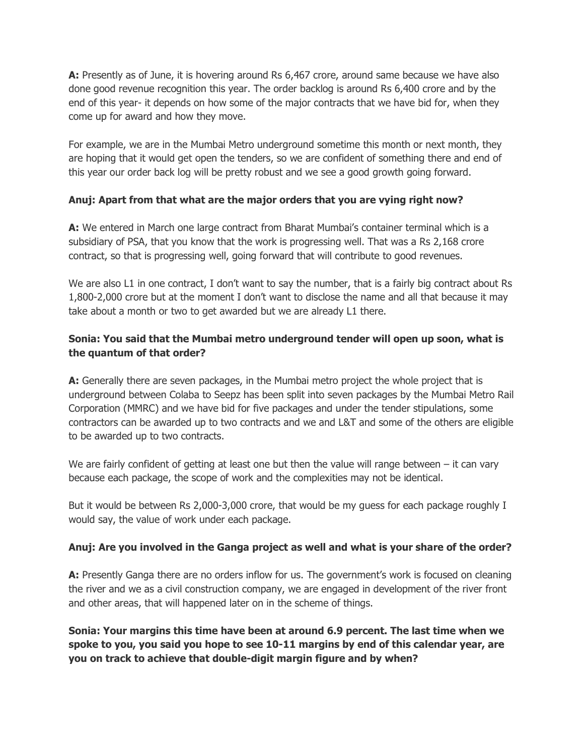**A:** Presently as of June, it is hovering around Rs 6,467 crore, around same because we have also done good revenue recognition this year. The order backlog is around Rs 6,400 crore and by the end of this year- it depends on how some of the major contracts that we have bid for, when they come up for award and how they move.

For example, we are in the Mumbai Metro underground sometime this month or next month, they are hoping that it would get open the tenders, so we are confident of something there and end of this year our order back log will be pretty robust and we see a good growth going forward.

# **Anuj: Apart from that what are the major orders that you are vying right now?**

**A:** We entered in March one large contract from Bharat Mumbai's container terminal which is a subsidiary of PSA, that you know that the work is progressing well. That was a Rs 2,168 crore contract, so that is progressing well, going forward that will contribute to good revenues.

We are also L1 in one contract, I don't want to say the number, that is a fairly big contract about Rs 1,800-2,000 crore but at the moment I don't want to disclose the name and all that because it may take about a month or two to get awarded but we are already L1 there.

# **Sonia: You said that the Mumbai metro underground tender will open up soon, what is the quantum of that order?**

**A:** Generally there are seven packages, in the Mumbai metro project the whole project that is underground between Colaba to Seepz has been split into seven packages by the Mumbai Metro Rail Corporation (MMRC) and we have bid for five packages and under the tender stipulations, some contractors can be awarded up to two contracts and we and L&T and some of the others are eligible to be awarded up to two contracts.

We are fairly confident of getting at least one but then the value will range between  $-$  it can vary because each package, the scope of work and the complexities may not be identical.

But it would be between Rs 2,000-3,000 crore, that would be my guess for each package roughly I would say, the value of work under each package.

# **Anuj: Are you involved in the Ganga project as well and what is your share of the order?**

**A:** Presently Ganga there are no orders inflow for us. The government's work is focused on cleaning the river and we as a civil construction company, we are engaged in development of the river front and other areas, that will happened later on in the scheme of things.

**Sonia: Your margins this time have been at around 6.9 percent. The last time when we spoke to you, you said you hope to see 10-11 margins by end of this calendar year, are you on track to achieve that double-digit margin figure and by when?**